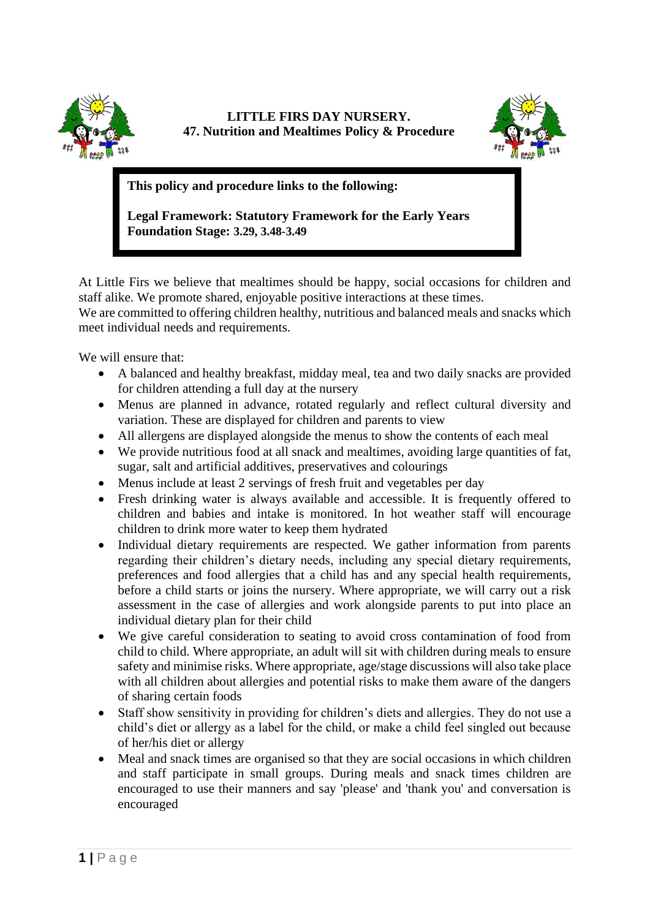

## **LITTLE FIRS DAY NURSERY. 47. Nutrition and Mealtimes Policy & Procedure**



**This policy and procedure links to the following:** 

**Legal Framework: Statutory Framework for the Early Years Foundation Stage: 3.29, 3.48-3.49**

At Little Firs we believe that mealtimes should be happy, social occasions for children and staff alike. We promote shared, enjoyable positive interactions at these times.

We are committed to offering children healthy, nutritious and balanced meals and snacks which meet individual needs and requirements.

We will ensure that:

- A balanced and healthy breakfast, midday meal, tea and two daily snacks are provided for children attending a full day at the nursery
- Menus are planned in advance, rotated regularly and reflect cultural diversity and variation. These are displayed for children and parents to view
- All allergens are displayed alongside the menus to show the contents of each meal
- We provide nutritious food at all snack and mealtimes, avoiding large quantities of fat, sugar, salt and artificial additives, preservatives and colourings
- Menus include at least 2 servings of fresh fruit and vegetables per day
- Fresh drinking water is always available and accessible. It is frequently offered to children and babies and intake is monitored. In hot weather staff will encourage children to drink more water to keep them hydrated
- Individual dietary requirements are respected. We gather information from parents regarding their children's dietary needs, including any special dietary requirements, preferences and food allergies that a child has and any special health requirements, before a child starts or joins the nursery. Where appropriate, we will carry out a risk assessment in the case of allergies and work alongside parents to put into place an individual dietary plan for their child
- We give careful consideration to seating to avoid cross contamination of food from child to child. Where appropriate, an adult will sit with children during meals to ensure safety and minimise risks. Where appropriate, age/stage discussions will also take place with all children about allergies and potential risks to make them aware of the dangers of sharing certain foods
- Staff show sensitivity in providing for children's diets and allergies. They do not use a child's diet or allergy as a label for the child, or make a child feel singled out because of her/his diet or allergy
- Meal and snack times are organised so that they are social occasions in which children and staff participate in small groups. During meals and snack times children are encouraged to use their manners and say 'please' and 'thank you' and conversation is encouraged